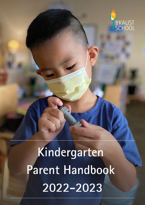

# Kindergarten Parent Handbook 2022-2023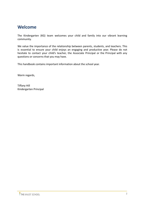# **Welcome**

The Kindergarten (KG) team welcomes your child and family into our vibrant learning community.

We value the importance of the relationship between parents, students, and teachers. This is essential to ensure your child enjoys an engaging and productive year. Please do not hesitate to contact your child's teacher, the Associate Principal or the Principal with any questions or concerns that you may have.

This handbook contains important information about the school year.

Warm regards,

Tiffany Hill Kindergarten Principal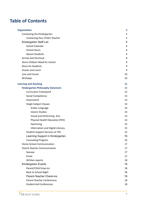# **Table of Contents**

| <b>Organization</b>                      | 5  |
|------------------------------------------|----|
| Contacting the Kindergarten              | 5  |
| Contacting Your Child's Teacher          | 5  |
| Kindergarten Staff List                  | 5  |
| <b>School Calendar</b>                   | 6  |
| <b>School Hours</b>                      | 6  |
| <b>Absent Students</b>                   | 6  |
| <b>Arrival and Dismissal</b>             | 8  |
| Items Children Need for School           | 9  |
| <b>Dress for Students</b>                | 9  |
| Snacks and Lunch                         | 9  |
| Lost and Found                           | 10 |
| <b>Birthdays</b>                         | 10 |
| <b>Learning and Teaching</b>             | 11 |
| <b>Kindergarten Philosophy Statement</b> | 11 |
| <b>Curriculum Framework</b>              | 12 |
| Social Competence                        | 13 |
| Assessment                               | 13 |
| <b>Single Subject Classes</b>            | 14 |
| Arabic Language                          | 14 |
| <b>Islamic Studies</b>                   | 14 |
| Visual and Performing Arts               | 14 |
| Physical Health Education (PHE)          | 14 |
| Swimming                                 | 15 |
| Information and Digital Literacy         | 15 |
| <b>Student Support Services at TKS</b>   | 15 |
| Learning Support in Kindergarten         | 16 |
| <b>Counseling Program</b>                | 16 |
| Home-School Communication                | 17 |
| Parent-Teacher Communication             | 17 |
| Seesaw                                   | 17 |
| Email                                    | 17 |
| Written reports                          | 18 |
| Kindergarten Events                      | 18 |
| Parent/Child Drop-ins                    | 18 |
| <b>Back to School Night</b>              | 18 |
| <b>Parent-Teacher Check-ins</b>          | 18 |
| Parent-Teacher Conferences               | 18 |
| <b>Student-led Conferences</b>           | 18 |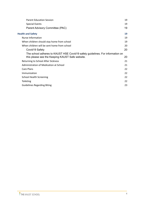| <b>Parent Education Session</b>                                                                                                  | 19 |
|----------------------------------------------------------------------------------------------------------------------------------|----|
| <b>Special Events</b>                                                                                                            | 19 |
| Parent Advisory Committee (PAC)                                                                                                  | 19 |
| <b>Health and Safety</b>                                                                                                         | 19 |
| Nurse Information                                                                                                                | 19 |
| When children should stay home from school                                                                                       | 19 |
| When children will be sent home from school                                                                                      | 20 |
| Covid 19 Safety                                                                                                                  | 20 |
| The school adheres to KAUST HSE Covid19 safety guidelines. For information on<br>this please see the Keeping KAUST Safe website. | 20 |
| Returning to School After Sickness                                                                                               | 21 |
| Administration of Medication at School                                                                                           | 21 |
| Care Plans                                                                                                                       | 22 |
| Immunization                                                                                                                     | 22 |
| <b>School Health Screening</b>                                                                                                   | 22 |
| Toileting                                                                                                                        | 22 |
| <b>Guidelines Regarding Biting</b>                                                                                               | 23 |
|                                                                                                                                  |    |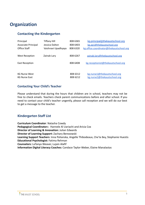# <span id="page-4-0"></span>**Organization**

# <span id="page-4-1"></span>**Contacting the Kindergarten**

| Principal                  | <b>Tiffany Hill</b> | 808 6365 | kg.principal@thekaustschool.org          |
|----------------------------|---------------------|----------|------------------------------------------|
| <b>Associate Principal</b> | Jessica Dalton      | 808 6403 | kg.ap1@thekaustschool.org                |
| Office Staff               | Vaishnavi Upadhyaya | 808 6320 | kg.office.coordinator@thekaustschool.org |
|                            |                     |          |                                          |
| West Reception             | Zainab Lary         | 808 6267 | zainab.lary@thekaustschool.org           |
|                            |                     |          |                                          |
| <b>East Reception</b>      |                     | 808 6408 | kg.receptionist@thekaustschool.org       |
|                            |                     |          |                                          |
|                            |                     |          |                                          |
| <b>KG Nurse West</b>       |                     | 808 6312 | kg.nurse1@thekaustschool.org             |
| <b>KG Nurse East</b>       |                     | 808 6212 | kg.nurse2@thekaustschool.org             |

## <span id="page-4-2"></span>**Contacting Your Child's Teacher**

Please understand that during the hours that children are in school, teachers may not be free to check emails. Teachers check parent communications before and after school. If you need to contact your child's teacher ungently, please call reception and we will do our best to get a message to the teacher.

# <span id="page-4-3"></span>**Kindergarten Staff List**

**Curriculum Coordinator**: Natasha Cowdy **Pedagogical Coordinator**s: Hannele Al Uariachi and Aricia Cox **Director of Learning & Innovation:** Julian Edwards **Director of Learning Support:** Zachary Berezowski **Learning Support Teachers**: Inna Polianska, Angelle Thibodeaux, Che'te Bey, Stephanie Huestis **Educational Psychologist:** Fatima Rehman **Counselors:** LaTanya Weaver, Lujain Alafif **Information Digital Literacy Coaches:** Candace Taylor-Weber, Elaine Manalastas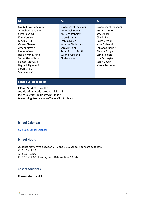| K1                                                                                                                                                                                                                                                                   | K <sub>2</sub>                                                                                                                                                                                       | K <sub>3</sub>                                                                                                                                                                                                                     |  |  |  |
|----------------------------------------------------------------------------------------------------------------------------------------------------------------------------------------------------------------------------------------------------------------------|------------------------------------------------------------------------------------------------------------------------------------------------------------------------------------------------------|------------------------------------------------------------------------------------------------------------------------------------------------------------------------------------------------------------------------------------|--|--|--|
| <b>Grade Level Teachers</b><br>Amnah AbuShaheen<br>Gitta Bakonyi<br>Kate Couling<br>Mayu Suzuki<br>Gayani Newns<br>Amani Alrefaei<br>Leena Wazzan<br>Rosalie van Mierlo<br>Samantha Wilson<br><b>Hamad Maoussa</b><br>Raghad Alghamdi<br>Sarah Sharp<br>Smita Vaidya | <b>Grade Level Teachers</b><br>Annemiek Havinga<br>Anu Chakraborty<br>Jerae Gamble<br>Joshua Doyle<br>Katarina Sladakovic<br>Sara AlAslani<br>Sezin Bozkurt Mutlu<br>Susan Bryceland<br>Chelle Jones | <b>Grade Level Teachers</b><br>Ana Ferrufino<br>Kate Adaci<br><b>Charis Fack</b><br>Dawn Verdoni<br>Israa Alghamdi<br><b>Fabiana Queiroz</b><br>Glenda Forgie<br>Lama Khalofa<br>Lisa Barrington<br>Sarah Boyer<br>Nicola Antoniuk |  |  |  |
| <b>Single Subject Teachers</b>                                                                                                                                                                                                                                       |                                                                                                                                                                                                      |                                                                                                                                                                                                                                    |  |  |  |
| <b>Islamic Studies: Dina Akeel</b><br>Arabic: Afnan Abdu, Wed AlSulaimani<br>PE: Zack Smith, Te Haurawhiti Teddy<br>Performing Arts: Katie Hoffman, Olga Pacheco                                                                                                     |                                                                                                                                                                                                      |                                                                                                                                                                                                                                    |  |  |  |

#### <span id="page-5-0"></span>**School Calendar**

[2022-2023](https://drive.google.com/file/d/157OG1OYlAcxXiZ1HHFG6GxoiGjCsRxkO/view?usp=sharing) School Calendar

#### <span id="page-5-1"></span>**School Hours**

Students may arrive between 7:45 and 8:10. School hours are as follows: K1: 8:15 - 12:15 K2: 8:15 - 13:00 K3: 8:15 - 14:00 (Tuesday Early Release time 13:00)

#### <span id="page-5-2"></span>**Absent Students**

**Sickness day 1 and 2**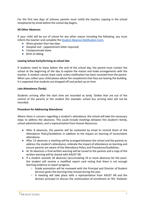For the first two days of sickness parents must notify the teacher, copying in the school receptionist by email before the school day begins.

#### **All Other Absences**

If your child will be out of school for any other reason including the following, you must inform the teacher and complete the Student Absence [Notification Form.](https://docs.google.com/forms/d/1gwdITEtfKPsmXAuhLQ4hCYddxLaeY-2S9WqRhGytob4/viewform)

- Illness greater than two days
- Hospital visit (appointment letter required)
- Compassionate leave
- Birth of sibling

#### **Leaving School Early/Arriving at school late**

If students need to leave before the end of the school day, the parent must contact the school at the beginning of the day to explain the reason and make arrangements with the teacher. A student cannot leave early unless notification has been received from the parent. When you collect your child please advise the receptionist that they are leaving the building. It is expected that students are dropped off and picked up on time.

#### **Late Attendance (Tardy)**

Students arriving after the start time are recorded as tardy. Tardies that are out of the control of the parents or the student (for example: school bus arriving late) will not be recorded.

#### **Procedure for Addressing Attendance**

Where there is concern regarding a student's attendance, the school will take the necessary steps to address the absences. This could include meetings between the student's family, school administrators, and a representative from Human Resources.

- After 8 absences, the parents will be contacted by email to remind them of the Attendance Policy/Guidelines in addition to the impact on learning of inconsistent attendance.
- After 13 absences a meeting will be arranged between the school and the parents to address the student's attendance, reiterate the impact of attendance on learning and ensure parents are aware of the Attendance Policy and Procedures/Guidelines.
- At 16 absences a final written warning will be issued to the parents and a copy of the written warning will be shared with KAUST HR.
- If a student exceeds 18 absences (accumulating 19 or more absences for the year): the student will receive a modified report card noting that there is not enough learning evidence to report progress.
	- Grade promotion will be reviewed with the Principal and Director of Student Services given the learning time missed during the year.
	- $\circ$  A meeting will take place with a representative from KAUST HR and the division principal to discuss the continuation of enrollment at TKS. Violation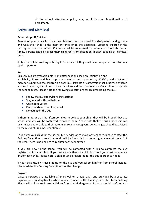of the school attendance policy may result in the discontinuation of enrollment.

# <span id="page-7-0"></span>**Arrival and Dismissal**

#### **Parent drop off / pick up**

Parents or guardians who drive their child to school must park in a designated parking space and walk their child to the main entrance or to the classroom. Dropping children in the parking lot is not permitted. Children must be supervised by parents or school staff at all times. Parents should collect their child(ren) from reception in each building at dismissal time.

If children will be walking or biking to/from school, they must be accompanied door-to-door by their parents.

#### **Bus**

Bus services are available before and after school, based on registration and

availability. Buses and bus stops are organized and operated by SAPTCo, and a KG staff member supervises the children on each bus. Parents or caregivers must supervise children at their bus stops; KG children may not walk to and from home alone. Only children may ride the school buses. Please note the following expectations for children riding the bus:

- Follow the bus supervisor's instructions
- Stay seated with seatbelt on
- Use indoor voices
- Keep hands and feet to yourself
- No eating on the bus

If there is no one at the afternoon stop to collect your child, they will be brought back to school and you will be contacted to collect them. Please note that the bus supervisors can only release your child to their parents or regular caregivers. Any changes should be advised to the relevant Building Receptionist.

To register your child for the school bus service or to make any changes, please contact the Building Receptionist. Your bus details will be forwarded to the next grade level at the end of the year. There is no need to re-register each school year.

If you are new to the school, you will be contacted with a link to complete the bus registration for your child. If you have more than one child in school you must complete a link for each child. Please note, a child must be registered for the bus in order to ride it.

If your child usually travels home on the bus and you collect him/her from school instead, please advise the Building Receptionist of the change.

#### **Daycare**

Daycare services are available after school on a paid basis and provided by a separate organization, Building Blocks, which is located near to TKS Kindergarten. Staff from Building Blocks will collect registered children from the Kindergarten. Parents should confirm with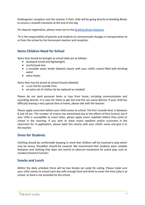Kindergarten reception and the teacher if their child will be going directly to Building Blocks to ensure a smooth transition at the end of the day.

For daycare registration, please reach out to the [Building Blocks Registrar.](mailto:alyza.ali29@gmail.com)

\*It is the responsibility of parents and students to communicate changes in transportation to or from the school to the homeroom teacher and reception.

# <span id="page-8-0"></span>**Items Children Need for School**

Items that should be brought to school daily are as follows:

- backpack (small and lightweight)
- lunch/snack box
- a reusable water bottle (labeled clearly with your child's name) filled with drinking water
- extra masks

Items that may be stored at school (clearly labeled):

- a sun hat for outside time
- an extra set of clothes (to be replaced as needed)

Please do not send personal items or toys from home, including communication and recording devices. It is easy for these to get lost and this can cause distress. If your child has difficulty leaving a very special item at home, please talk with the teacher.

Please apply sunscreen before your child comes to school. The first 'outside time' is between 8 and 10 am. The number of insects has diminished due to the efforts of Pest Control, but if your child is susceptible to insect bites, please apply insect repellent before they come to school in the morning. If you wish to leave insect repellent and/or sunscreen in the classroom for re-application, please label this clearly with your child's name and give it to the teacher.

# <span id="page-8-1"></span>**Dress for Students**

Clothing should be comfortable keeping in mind that children will be involved in play which may be messy. Shoulders should be covered. We recommend that students wear suitable footwear and clothing that does not restrict or obstruct movement for active play, such as sneakers/trainers/runners.

# <span id="page-8-2"></span>**Snacks and Lunch**

Within the daily schedule there will be two breaks set aside for eating. Please make sure your child comes to school each day with enough food and drink to cover the time (s)he is at school, as food is not provided by the school.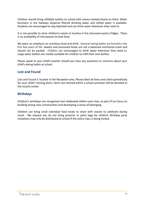Children should bring refillable bottles to school with names marked clearly on them. Water fountains in the hallways dispense filtered drinking water and chilled water is available. Students are encouraged to stay hydrated and can drink water whenever they need to.

It is not possible to store children's snacks or lunches in the classroom pantry fridges. There is no availability of microwaves to heat food.

We place an emphasis on nutritious food and drink. General eating habits are formed in the first few years of life. Sweets and processed foods are not a balanced nutritional snack and should not be packed. Children are encouraged to drink water whenever they need to. Large water bottles are readily available for children to refill their own bottles.

Please speak to your child's teacher should you have any questions or concerns about your child's eating habits at school.

# <span id="page-9-0"></span>**Lost and Found**

Lost and Found is located in the Reception area. Please label all items and check periodically for your child's missing items. Items not claimed within a school semester will be donated to the recycle center.

# <span id="page-9-1"></span>**Birthdays**

Children's birthdays are recognized and celebrated within each class, as part of our focus on building strong class communities and developing a sense of belonging.

Children can bring small individual food treats to share with classes to celebrate during snack. We request you do not bring presents or party bags for children. Birthday party invitations may only be distributed at school if the entire class is being invited.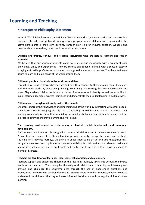# <span id="page-10-0"></span>**Learning and Teaching**

# <span id="page-10-1"></span>**Kindergarten Philosophy Statement**

As an IB World School, we use the PYP Early Years framework to guide our curriculum. We provide a standards-aligned, concept-based, inquiry-driven program where children are empowered to be active participants in their own learning. Through play, children inquire, question, wonder, and theorize about themselves, others, and the world around them.

#### **Children are unique, curious, and creative individuals who are natural learners and rich in potential.**

We believe that our youngest students come to us as unique individuals, with a wealth of prior knowledge, skills, and experiences. They are curious and capable learners with a sense of agency, bringing valid skills, preferences, and understandings to the educational process. They have an innate desire to learn and make sense of the world around them.

#### **Children's play is an inquiry into the world around them.**

Through play, children learn who they are and how they connect to those around them; they learn how the world works by constructing, testing, confirming, and revising their early perceptions and ideas. Play enables children to develop a sense of autonomy and identity, as well as an ability to make informed decisions, express their ideas and demonstrate their understanding in multiple ways.

#### **Children learn through relationships with other people.**

Children construct their knowledge and understanding of the world by interacting with other people. They learn through engaging socially and participating in collaborative learning activities. Our learning community is committed to building partnerships between parents, teachers, and children, in order to optimize children's learning and well-being.

#### **The learning environment actively supports physical, social, intellectual, and emotional development.**

Environments are intentionally designed to include all children and to meet their diverse needs. Provocations are created to invite exploration, provoke curiosity, engage the senses and celebrate the children's learning journeys. Children are encouraged to be active and take thoughtful risks, recognize their own accomplishments, take responsibility for their actions, and develop resilience and positive self-esteem. Spaces are flexible and can be transformed in multiple ways to respond to learners' interests.

#### **Teachers are facilitators of learning, researchers, collaborators, and co-learners.**

Teachers support and encourage children on their learning journeys, taking into account the diverse needs of our learners. They recognize the reciprocal relationship of teaching and learning and provoke and challenge the children's ideas through the use of open-ended questions and provocations. By observing children closely and listening carefully to their theories, teachers come to understand the children's thinking and make informed decisions about how to guide children in their learning.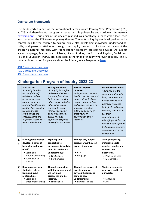# <span id="page-11-0"></span>**Curriculum Framework**

The Kindergarten is part of the International Baccalaureate Primary Years Programme (PYP) at TKS and therefore our program is based on this philosophy and curriculum framework [\(www.ibo.org\).](http://www.ibo.org/) Four units of inquiry are planned collaboratively in each grade level each year based on the PYP transdisciplinary themes. The units of inquiry are developed around a central idea for the children to explore, while also developing knowledge, understanding, skills, and personal attributes through the inquiry process. Units take into account the children's natural interests, with room left for emergent projects to develop. All subject areas: Language, Mathematics, Science, Social Studies, the Arts, and Physical, Social, and Personal Education (PSPE), are integrated in the units of inquiry wherever possible. The IB provides information for parents about the Primary Years Programme [here](https://www.ibo.org/information-for-parents/pyp-for-parents/).

[KG1 Curriculum Overview](https://drive.google.com/file/d/1DVj7CG00jt3PhhFSp1r0riq_O11-kn-C/view?usp=sharing) [KG2 Curriculum Overview](https://drive.google.com/file/d/1AoZsVo37ML_BoOnStW7EyMobqc38UmXC/view?usp=sharing) [KG3 Curriculum Overview](https://drive.google.com/file/d/1Rbl2ElJY-S0pGYfNZc87HIECvYwUjWB7/view?usp=sharing)

# **Kindergarten Program of Inquiry 2022-23**

|                     | Who We Are<br>An inquiry into the<br>nature of the self;<br>beliefs and values;<br>personal, physical,<br>mental, social and<br>spiritual health; human<br>relationships including<br>families, friends,<br>communities and<br>cultures; rights and<br>responsibilities; what it<br>means to be human. | <b>Sharing the Planet</b><br>An inquiry into rights<br>and responsibilities in<br>the struggle to share<br>finite resources with<br>other people and with<br>other living things;<br>communities and<br>relationships within<br>and between them;<br>access to equal<br>opportunities; peace<br>and conflict resolution. | How we express<br>ourselves<br>An inquiry into the ways<br>in which we discover and<br>express ideas, feelings,<br>nature, culture, beliefs<br>and values; the ways in<br>which we reflect on,<br>extend and enjoy our<br>creativity; our<br>appreciation of the<br>aesthetic. | How the world works<br>An inquiry into the<br>natural world and its<br>laws; the interaction<br>between the natural<br>world (physical and<br>biological) and human<br>societies; how humans<br>use their<br>understanding of<br>scientific principles; the<br>impact of scientific and<br>technological advances<br>on society and on the<br>environment. |
|---------------------|--------------------------------------------------------------------------------------------------------------------------------------------------------------------------------------------------------------------------------------------------------------------------------------------------------|--------------------------------------------------------------------------------------------------------------------------------------------------------------------------------------------------------------------------------------------------------------------------------------------------------------------------|--------------------------------------------------------------------------------------------------------------------------------------------------------------------------------------------------------------------------------------------------------------------------------|------------------------------------------------------------------------------------------------------------------------------------------------------------------------------------------------------------------------------------------------------------------------------------------------------------------------------------------------------------|
| К<br>$\mathbf{1}$   | <b>Building relationships</b><br>develops a sense of<br>belonging and sense<br>of self.<br>• Social and<br><b>Emotional Learning</b><br>• Social Studies<br>(Civics)                                                                                                                                   | <b>Exploring and</b><br>connecting to<br>environments leads to<br>new discoveries and<br>understandings.<br>• Life Science<br>• Mathematics                                                                                                                                                                              | Through play people<br>discover ways they can<br>express themselves.<br>$\bullet$ Arts<br>• Language                                                                                                                                                                           | <b>Through exploring</b><br>materials people<br>develop theories and<br>come to new<br>discoveries.<br>• Physical Science<br>• Mathematics                                                                                                                                                                                                                 |
| К<br>$\overline{2}$ | <b>Developing personal</b><br>strategies help us<br>learn and build<br>relationships.<br>• Social and<br><b>Emotional Learning</b>                                                                                                                                                                     | <b>Through connecting</b><br>with the natural world<br>we can make<br>discoveries and be<br>inspired.<br>• Life Science                                                                                                                                                                                                  | Through the process of<br>investigation, we<br>develop theories and<br>come to new<br>understandings.<br>• Physical Science                                                                                                                                                    | Stories are created,<br>expressed and live in<br>our world.<br>• Language<br>$\bullet$ Arts                                                                                                                                                                                                                                                                |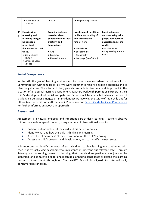|                              | • Social Studies<br>(Civics)                                                                                                                                                         | $\bullet$ Arts                                                                                                                                                           | • Engineering Science                                                                                                                                                               |                                                                                                                                                                |
|------------------------------|--------------------------------------------------------------------------------------------------------------------------------------------------------------------------------------|--------------------------------------------------------------------------------------------------------------------------------------------------------------------------|-------------------------------------------------------------------------------------------------------------------------------------------------------------------------------------|----------------------------------------------------------------------------------------------------------------------------------------------------------------|
| К<br>$\overline{\mathbf{3}}$ | Experiencing,<br>observing and<br>recording changes<br>helps people<br>understand<br>themselves and their<br>world.<br>• Social Studies<br>(History)<br>• Earth and Space<br>Science | <b>Exploring tools and</b><br>materials allows<br>people to extend their<br>creativity and<br>imagination.<br>$\bullet$ Arts<br>$\bullet$ Language<br>• Physical Science | <b>Investigating living things</b><br>builds understanding of<br>how we share the<br>natural world.<br>• Life Science<br>• Social Studies<br>(Geography)<br>• Language (Nonfiction) | Constructing and<br>deconstructing helps<br>people develop their<br>understanding of the<br>world.<br>• Mathematics<br>• Engineering Science<br>$\bullet$ Arts |

## <span id="page-12-0"></span>**Social Competence**

In the KG, the joy of learning and respect for others are considered a primary focus. Communication with families is key. We work together to resolve discipline problems and to plan for guidance. The efforts of staff, parents, and administrators are all important in the creation of an optimal learning environment. Teachers work with parents as partners in their child's development of social competence. Parents will be contacted when a pattern of challenging behavior emerges or an incident occurs involving the safety of their child and/or others (another child or staff member). Please see our **Parent Guide to Social [Competence](https://drive.google.com/file/d/1Pd2mlezTX10bpybqMXZdhND3aNcI_71f/view)** for further information about our approach.

#### <span id="page-12-1"></span>**Assessment**

Assessment is a natural, ongoing, and important part of daily learning. Teachers observe children in a wide range of contexts, using a variety of observational tools to:

- Build up a clear picture of the child and his or her interests
- Identify what and how the child is thinking and learning
- Assess the effectiveness of the environment on the child's learning
- Assess the child's progress and development, and to identify the next steps.

It is important to identify the needs of each child and to view learning as a continuum, with each student achieving developmental milestones in different but relevant ways. Through listening and observing, areas of learning that the children particularly enjoy can be identified, and stimulating experiences can be planned to consolidate or extend the learning further. Assessment throughout The KAUST School is aligned to internationally benchmarked standards.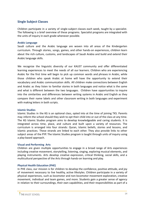# <span id="page-13-0"></span>**Single Subject Classes**

Children participate in a variety of single-subject classes each week, taught by a specialist. The following is a brief overview of these programs. Specialist programs are integrated with the units of inquiry in each grade whenever possible.

#### <span id="page-13-1"></span>**Arabic Language**

Saudi culture and the Arabic language are woven into all areas of the Kindergarten curriculum. Through stories, songs, games, and other hands-on experiences, children learn about the rich culture, customs, and landscapes of Saudi Arabia and build and extend their Arabic language skills.

We recognize the linguistic diversity of our KAUST community and offer differentiated learning experiences to meet the needs of all our learners. Children who are experiencing Arabic for the first time will begin to pick up common words and phrases in Arabic, while those children who speak Arabic at home will have the opportunity to extend their vocabulary and Arabic communication skills. All children make connections between English and Arabic as they listen to familiar stories in both languages and notice what is the same and what is different between the two languages. Children have opportunities to inquire into the similarities and differences between writing systems in Arabic and English as they compare their name labels and other classroom writing in both languages and experiment with making letters in both scripts.

#### <span id="page-13-2"></span>**Islamic Studies**

Islamic Studies in the KG is an optional class, opted into at the time of joining TKS. Parents may inform the school should they wish to opt their child into or out of the class at any time. The KG Islamic Studies program aims to develop knowledgeable and caring students. It is integrated across time, place, and culture and built upon a variety of resources. The curriculum is arranged into four strands: Quran, Islamic beliefs, stories and lessons, and Islamic practices. These strands are linked to each other. They also provide links to other subject areas of the PYP. The Islamic Studies program is taught through units of inquiry using a play-based approach.

#### <span id="page-13-3"></span>**Visual and Performing Arts**

Children are given multiple opportunities to engage in a broad range of Arts experiences including creative movement, storytelling, listening, singing, exploring musical elements, and playing instruments. Arts develop creative expression, critical thinking, social skills, and a multicultural perspective of the Arts through hands-on learning and play.

#### <span id="page-13-4"></span>**Physical Health Education (PHE)**

In PHE class, our mission is for children to develop the confidence, positive attitude, and joy of movement necessary to live healthy, active lifestyles. Children participate in a variety of physical experiences, such as locomotor and non-locomotor movement exploration, creative movement, individual and team games, and more. Students gain a greater sense of agency in relation to their surroundings, their own capabilities, and their responsibilities as part of a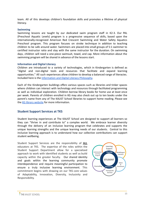team. All of this develops children's foundation skills and promotes a lifetime of physical literacy.

#### <span id="page-14-0"></span>**Swimming**

Swimming lessons are taught by our dedicated swim program staff in K2-3. Our PAL (Preschool Aquatic Levels) program is a progressive sequence of skills, based upon the internationally-recognized American Red Crescent Swimming and Water Safety Aquatics Preschool program. This program focuses on stroke technique in addition to teaching children to be safe around water. Swimmers are placed into small groups of 5:1 swimmer to certified instructor ratio and stay with the same instructor for the duration. On swimming days, children will need a one-piece swimsuit, towel, and cap. More information about the swimming program will be shared in advance of the lessons start.

#### <span id="page-14-1"></span>**Information and Digital Literacy**

Children are introduced to a variety of technologies, which in Kindergarten is defined as "digital and non-digital tools and resources that facilitate and expand learning opportunities." All such experiences allow children to develop a balanced range of literacies. Included here is the [Information and Digital Literacy](https://docs.google.com/document/d/1NFvncui3zPeZJBJ1Rn_i9mlJYz6ZZ_DNJqF2u2rKpkE/edit?usp=sharing) Philosophy.

Each of the Kindergarten buildings offers various spaces such as libraries and tinker spaces where children can interact with technology and resources through facilitated programming as well as individual exploration. Children borrow library books for home use at least once per week. Parents of children enrolled in KG may also check out up to ten books under the parent's name from any of The KAUST School libraries to support home reading. Please see the [KG library website](https://bit.ly/tkskglibrary) for more information.

#### <span id="page-14-2"></span>**Student Support Services at TKS**

Student learning experiences at The KAUST School are designed to support all learners so they can "thrive in and contribute to" a complex world. We embrace learner diversity through the delivery of an inclusive learning program that celebrates and supports the unique learning strengths and the unique learning needs of our students. Central to this inclusive learning approach is to understand how our collective contributions can support student wellbeing.

Student Support Services are the responsibility of **ALL** educators at TKS. The expertise of the roles within the Student Support Department allow for a specialized approach to work with identified students as well as build capacity within the greater faculty. Our shared identity and goals within the learning community promote interdependence and require meaningful participation to ensure a truly inclusive learning environment. This commitment begins with drawing on our TKS core values of Adaptability, Innovation, Diversity, Inclusivity and Responsibility.

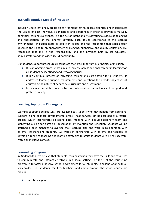## **TKS Collaborative Model of Inclusion**

Inclusion is to intentionally create an environment that respects, celebrates and incorporates the values of each individual's similarities and differences in order to provide a mutually beneficial learning experience. It is the act of intentionally cultivating a culture of belonging and appreciation for the inherent diversity each person contributes to the learning environment. Inclusion requires equity in access and the recognition that each person deserves the right to an appropriately challenging, supportive and quality education. TKS recognizes that this is the responsibility and the privilege held by its educators, administrators and the wider KAUST community.

Our student support procedures incorporate the three important IB principles of inclusion:

- It is an ongoing process that aims to increase access and engagement in learning for all students by identifying and removing barriers.
- It is a continual process of increasing learning and participation for all students. It addresses learning support requirements and questions the broader objectives of education, the nature of pedagogy, curriculum and assessment.
- Inclusion is facilitated in a culture of collaboration, mutual respect, support and problem-solving.

#### <span id="page-15-0"></span>**Learning Support in Kindergarten**

Learning Support Services (LSS) are available to students who may benefit from additional support in one or more developmental areas. These services can be accessed by a referral process which incorporates collecting data, meeting with a multidisciplinary team and identifying a plan for a cycle of observation, intervention and reflection. Students will be assigned a case manager to oversee their learning plan and work in collaboration with parents, teachers and students. LSS works in partnership with parents and teachers to develop a range of teaching and learning strategies to assist students with being successful within an inclusive context.

#### <span id="page-15-1"></span>**Counseling Program**

In Kindergarten, we believe that students learn best when they have the skills and resources to communicate and interact effectively in a social setting. The focus of the counseling program is to foster a positive school environment for all students. In collaboration with all stakeholders, i.e. students, families, teachers, and administration, the school counselors provide:

● Transition support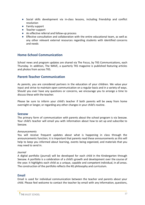- Social skills development via in-class lessons, including friendship and conflict resolution
- Family support
- Teacher support
- An effective referral and follow-up process
- Effective consultation and collaboration with the entire educational team, as well as any other relevant external resources regarding students with identified concerns and needs

# <span id="page-16-0"></span>**Home-School Communication**

School news and program updates are shared via The Focus, by TKS Communications, each Thursday. In addition, The WAVE, a quarterly TKS magazine is published featuring articles and photos from across TKS.

# <span id="page-16-1"></span>**Parent-Teacher Communication**

As parents, you are considered partners in the education of your children. We value your input and strive to maintain open communication on a regular basis and in a variety of ways. Should you ever have any questions or concerns, we encourage you to arrange a time to discuss these with the teacher.

Please be sure to inform your child's teacher if both parents will be away from home overnight or longer, or regarding any other changes in your child's routine.

#### <span id="page-16-2"></span>**Seesaw**

The primary form of communication with parents about the school program is via Seesaw. Your child's teacher will email you with information about how to set up and subscribe to Seesaw.

#### *Announcements*

You will receive frequent updates about what is happening in class through the announcements function; it is important that parents read these announcements as this will help to keep you informed about learning, events being organized, and materials that you may need to send in.

#### *Journal*

A digital portfolio (journal) will be developed for each child in the Kindergarten through Seesaw. A portfolio is a celebration of a child's growth and development over the course of the year. It highlights each child as a unique, capable and competent individual, in all areas. The construction of the portfolio reflects the KG philosophy and curriculum.

#### <span id="page-16-3"></span>**Email**

Email is used for individual communication between the teacher and parents about your child. Please feel welcome to contact the teacher by email with any information, questions,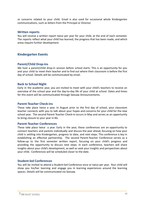or concerns related to your child. Email is also used for occasional whole Kindergarten communications, such as letters from the Principal or Director.

#### <span id="page-17-0"></span>**Written reports**

You will receive a written report twice per year for your child, at the end of each semester. The reports reflect what your child has learned, the progress that has been made, and which areas require further development.

## <span id="page-17-1"></span>**Kindergarten Events**

#### <span id="page-17-2"></span>**Parent/Child Drop-ins**

We host a parent/child drop-in session before school starts. This is an opportunity for you and your child to meet their teacher and to find out where their classroom is before the first day of school. Details will be communicated by email.

#### <span id="page-17-3"></span>**Back to School Night**

Early in the academic year, you are invited to meet with your child's teachers to receive an overview of the school year and the day-to-day life of your child at school. Dates and times for this event will be communicated through Seesaw Announcements.

#### <span id="page-17-4"></span>**Parent-Teacher Check-ins**

These take place twice a year. In August prior to the first day of school, your classroom teacher connects with you to talk about your hopes and concerns for your child for the new school year. The second Parent Teacher Check-in occurs in May and serves as an opportunity to bring closure to your year in KG.

#### <span id="page-17-5"></span>**Parent-Teacher Conferences**

These take place twice a year. Early in the year, these conferences are an opportunity to connect teachers and parents individually and discuss the year ahead, focusing on how your child is settling into Kindergarten, progress to date, and next steps. This conference is key in establishing an effective partnership. The second Parent-Teacher Conference serves as a follow-up to the first semester written report, focusing on your child's progress and providing the opportunity to discuss next steps. In each conference, teachers will share insights about your child's development, as well as seek your insights and perspectives about your child. Conferences will be scheduled closer to the date.

#### <span id="page-17-6"></span>**Student-led Conferences**

You will be invited to attend a Student-led Conference once or twice per year. Your child will show you his/her learning and engage you in learning experiences around the learning spaces. Details will be communicated via Seesaw.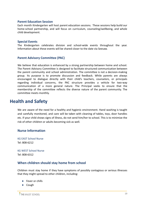#### <span id="page-18-0"></span>**Parent Education Session**

Each month Kindergarten will host parent education sessions. These sessions help build our home-school partnership, and will focus on curriculum, counseling/wellbeing, and whole child development.

#### <span id="page-18-1"></span>**Special Events**

The Kindergarten celebrates division and school-wide events throughout the year. Information about these events will be shared closer to the date via Seesaw.

#### <span id="page-18-2"></span>**Parent Advisory Committee (PAC)**

We believe that education is enhanced by a strong partnership between home and school. The Parent Advisory Committee is designed to facilitate structured communication between the parent community and school administration. The committee is not a decision-making group. Its purpose is to promote discussion and feedback. While parents are always encouraged to dialogue directly with their child's teachers, counselors, or principals regarding individual concerns, the PAC structure provides a vehicle for two-way communication of a more general nature. The Principal seeks to ensure that the membership of the committee reflects the diverse nature of the parent community. The committee meets monthly.

# <span id="page-18-3"></span>**Health and Safety**

We are aware of the need for a healthy and hygienic environment. Hand washing is taught and carefully monitored, and care will be taken with cleaning of tables, toys, door handles etc. If your child shows signs of illness, do not send him/her to school. This is to minimize the risk of other children or adults becoming sick as well.

#### <span id="page-18-4"></span>**Nurse Information**

KG EAST School Nurse Tel: 808-6212

KG WEST School Nurse Tel: 808-6312

#### **When children should stay home from school**

Children must stay home if they have symptoms of possibly contagious or serious illnesses that they might spread to other children, including:

- Fever or chills
- Cough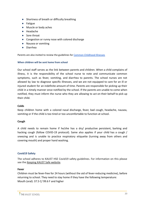- Shortness of breath or difficulty breathing
- Fatigue
- Muscle or body aches
- Headache
- Sore throat
- Congestion or runny nose with colored discharge
- Nausea or vomiting
- Diarrhea

Parents are also invited to review the guidelines for Common [Childhood](https://drive.google.com/file/d/13qXq5oksPV3Me2JZDTeNmOK6C_lA4pBp/view?usp=sharing) Illnesses

#### **When children will be sent home from school**

Our school staff serves as the link between parents and children. When a child complains of illness, it is the responsibility of the school nurse to note and communicate common symptoms, such as fever, vomiting, and diarrhea to parents. The school nurses are not allowed by law to diagnose specific illnesses, and we are not equipped to care for an ill or injured student for an indefinite amount of time. Parents are responsible for picking up their child in a timely manner once notified by the school. If the parents are unable to come when notified, they must inform the nurse who they are allowing to act on their behalf to pick up their child.

#### **Colds**

Keep children home with a colored nasal discharge, fever, bad cough, headache, nausea, vomiting or if the child is too tired or too uncomfortable to function at school.

#### **Cough**

A child needs to remain home if he/she has a dry/ productive persistent, barking and hacking cough (follow COVID-19 protocol). Same also applies if your child has a cough / sneezing and is unable to practice respiratory etiquette (turning away from others and covering mouth) and proper hand washing.

#### <span id="page-19-0"></span>**Covid19 Safety**

<span id="page-19-1"></span>The school adheres to KAUST HSE Covid19 safety guidelines. For information on this please see the [Keeping KAUST Safe website.](https://hse.kaust.edu.sa/Services/Pages/covid-19.aspx)

#### **Fever**

Children must be fever-free for 24 hours (without the aid of fever-reducing medicine), before returning to school. They need to stay home if they have the following temperature: Mouth (oral): 37.5 C/ 99.6 F and higher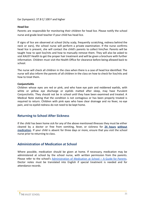Ear (tympanic): 37.8 C/ 100 F and higher

#### **Head lice**

Parents are responsible for monitoring their children for head lice. Please notify the school nurse and grade level teacher if your child has head lice.

<span id="page-20-0"></span>If signs of lice are observed at school (itchy scalp, frequently scratching, redness behind the neck or ears), the school nurse will perform a private examination. If the nurse confirms head lice is present, she will contact the child's parents to collect him/her. Parents will be taught how to spot lice/nits and how to manually remove them. They will also be asked to visit KAUST Health to get the proper hair treatment and will be given a brochure with further information. Children must visit the Health Office for clearance before being allowed back to school.

The nurse will check all children in the class when there is a case of head lice identified. The nurse will also inform the parents of all children in the class on how to check for lice/nits and how to treat them.

#### **Conjunctivitis**

Children whose eyes are red or pink, and who have eye pain and reddened eyelids, with white or yellow eye discharge or eyelids matted after sleep, may have Purulent Conjunctivitis. They should not be in school until they have been examined and treated. A Medical Note stating that the condition is not contagious or has been properly treated is required to return. Children with pink eyes who have clear drainage and no fever, no eye pain, and no eyelid redness do not need to be kept home.

#### <span id="page-20-1"></span>**Returning to School After Sickness**

If the child has been home sick for any of the above mentioned illnesses they must be either cleared by a doctor or free from vomiting, fever, or sickness for **24 hours without medication**. If your child is absent for three days or more, ensure that you visit the school nurse prior to returning to class.

# <span id="page-20-2"></span>**Administration of Medication at School**

Where possible, medication should be given at home. If necessary, medication may be administered at school by the school nurse, with written permission from the parents. Please refer to the school's [Administration](https://drive.google.com/a/thekaustschool.org/file/d/0B9-mIxcjUZbEMzRCUzBrTXRnTXM/view?usp=sharing) of Medication at School – A Guide for Parents. Doctor notes must be translated into English if special treatment is needed and for attendance records.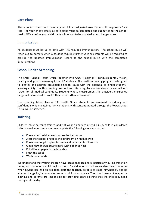# <span id="page-21-0"></span>**Care Plans**

Please contact the school nurse at your child's designated area if your child requires a Care Plan. For your child's safety, all care plans must be completed and submitted to the School Health Office before your child starts school and to be updated when changes arise.

## <span id="page-21-1"></span>**Immunization**

All students must be up to date with TKS required immunizations. The school nurse will reach out to parents when a student requires further vaccines. Parents will be required to provide the updated immunization record to the school nurse with the completed immunizations

# <span id="page-21-2"></span>**School Health Screening**

The KAUST School Health Office together with KAUST Health (KH) conducts dental, vision, hearing and growth screening for all K2 students**.** The health screening program is designed to identify and address preventable health issues with the potential to hinder students' learning ability. Health screening does not substitute regular medical checkups and will not screen for all medical conditions. Students whose measurements fall outside the expected range will be referred to KAUST Health for further assessment.

The screening takes place at TKS Health Office, students are screened individually and confidentiality is maintained. Only students with consent granted through the PowerSchool Portal will be screened.

# <span id="page-21-3"></span>**Toileting**

Children must be toilet trained and not wear diapers to attend TKS. A child is considered toilet trained when he or she can complete the following steps unassisted:

- Know when he/she needs to use the bathroom
- Alert the teacher or get to the bathroom on his/her own
- Know how to get his/her trousers and underpants off and on
- Clean his/her own private parts with paper or hose
- Put all toilet paper in the bowl/bin
- Flush the toilet
- Wash their hands

We understand that young children have occasional accidents, particularly during transition times, such as when a child begins school. A child who has had an accident needs to know when he/she has had an accident, alert the teacher, be able to clean him/herself, and be able to change his/her own clothes with minimal assistance. The school does not keep extra clothing and parents are responsible for providing spare clothing that the child may need throughout the day.